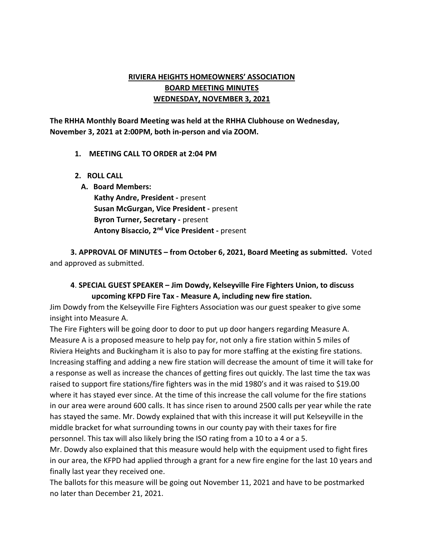## RIVIERA HEIGHTS HOMEOWNERS' ASSOCIATION BOARD MEETING MINUTES WEDNESDAY, NOVEMBER 3, 2021

The RHHA Monthly Board Meeting was held at the RHHA Clubhouse on Wednesday, November 3, 2021 at 2:00PM, both in-person and via ZOOM.

#### 1. MEETING CALL TO ORDER at 2:04 PM

2. ROLL CALL

A. Board Members:

Kathy Andre, President - present Susan McGurgan, Vice President - present Byron Turner, Secretary - present Antony Bisaccio, 2<sup>nd</sup> Vice President - present

 3. APPROVAL OF MINUTES – from October 6, 2021, Board Meeting as submitted. Voted and approved as submitted.

### 4. SPECIAL GUEST SPEAKER – Jim Dowdy, Kelseyville Fire Fighters Union, to discuss upcoming KFPD Fire Tax - Measure A, including new fire station.

Jim Dowdy from the Kelseyville Fire Fighters Association was our guest speaker to give some insight into Measure A.

The Fire Fighters will be going door to door to put up door hangers regarding Measure A. Measure A is a proposed measure to help pay for, not only a fire station within 5 miles of Riviera Heights and Buckingham it is also to pay for more staffing at the existing fire stations. Increasing staffing and adding a new fire station will decrease the amount of time it will take for a response as well as increase the chances of getting fires out quickly. The last time the tax was raised to support fire stations/fire fighters was in the mid 1980's and it was raised to \$19.00 where it has stayed ever since. At the time of this increase the call volume for the fire stations in our area were around 600 calls. It has since risen to around 2500 calls per year while the rate has stayed the same. Mr. Dowdy explained that with this increase it will put Kelseyville in the middle bracket for what surrounding towns in our county pay with their taxes for fire personnel. This tax will also likely bring the ISO rating from a 10 to a 4 or a 5.

Mr. Dowdy also explained that this measure would help with the equipment used to fight fires in our area, the KFPD had applied through a grant for a new fire engine for the last 10 years and finally last year they received one.

The ballots for this measure will be going out November 11, 2021 and have to be postmarked no later than December 21, 2021.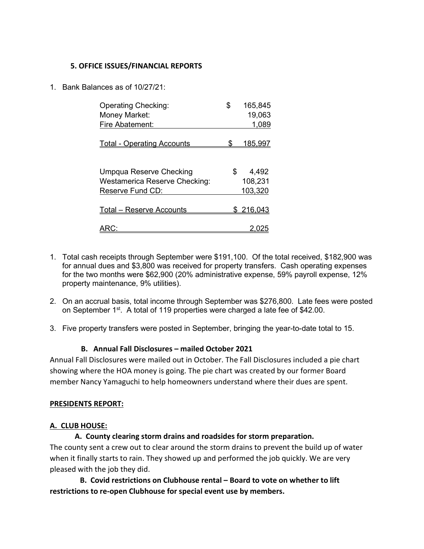#### 5. OFFICE ISSUES/FINANCIAL REPORTS

1. Bank Balances as of 10/27/21:

| \$<br>165,845    |
|------------------|
| 19,063           |
| 1,089            |
| <u>185,997</u>   |
|                  |
| \$<br>4,492      |
| 108,231          |
| 103,320          |
|                  |
| <u>\$216,043</u> |
|                  |
|                  |

- 1. Total cash receipts through September were \$191,100. Of the total received, \$182,900 was for annual dues and \$3,800 was received for property transfers. Cash operating expenses for the two months were \$62,900 (20% administrative expense, 59% payroll expense, 12% property maintenance, 9% utilities).
- 2. On an accrual basis, total income through September was \$276,800. Late fees were posted on September 1<sup>st</sup>. A total of 119 properties were charged a late fee of \$42.00.
- 3. Five property transfers were posted in September, bringing the year-to-date total to 15.

#### B. Annual Fall Disclosures – mailed October 2021

Annual Fall Disclosures were mailed out in October. The Fall Disclosures included a pie chart showing where the HOA money is going. The pie chart was created by our former Board member Nancy Yamaguchi to help homeowners understand where their dues are spent.

#### PRESIDENTS REPORT:

#### A. CLUB HOUSE:

#### A. County clearing storm drains and roadsides for storm preparation.

The county sent a crew out to clear around the storm drains to prevent the build up of water when it finally starts to rain. They showed up and performed the job quickly. We are very pleased with the job they did.

 B. Covid restrictions on Clubhouse rental – Board to vote on whether to lift restrictions to re-open Clubhouse for special event use by members.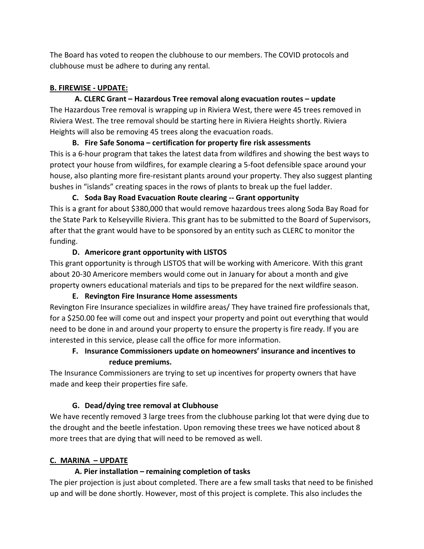The Board has voted to reopen the clubhouse to our members. The COVID protocols and clubhouse must be adhere to during any rental.

### B. FIREWISE - UPDATE:

## A. CLERC Grant – Hazardous Tree removal along evacuation routes – update

The Hazardous Tree removal is wrapping up in Riviera West, there were 45 trees removed in Riviera West. The tree removal should be starting here in Riviera Heights shortly. Riviera Heights will also be removing 45 trees along the evacuation roads.

B. Fire Safe Sonoma – certification for property fire risk assessments This is a 6-hour program that takes the latest data from wildfires and showing the best ways to protect your house from wildfires, for example clearing a 5-foot defensible space around your house, also planting more fire-resistant plants around your property. They also suggest planting bushes in "islands" creating spaces in the rows of plants to break up the fuel ladder.

C. Soda Bay Road Evacuation Route clearing -- Grant opportunity This is a grant for about \$380,000 that would remove hazardous trees along Soda Bay Road for the State Park to Kelseyville Riviera. This grant has to be submitted to the Board of Supervisors, after that the grant would have to be sponsored by an entity such as CLERC to monitor the funding.

### D. Americore grant opportunity with LISTOS

This grant opportunity is through LISTOS that will be working with Americore. With this grant about 20-30 Americore members would come out in January for about a month and give property owners educational materials and tips to be prepared for the next wildfire season.

### E. Revington Fire Insurance Home assessments

Revington Fire Insurance specializes in wildfire areas/ They have trained fire professionals that, for a \$250.00 fee will come out and inspect your property and point out everything that would need to be done in and around your property to ensure the property is fire ready. If you are interested in this service, please call the office for more information.

# F. Insurance Commissioners update on homeowners' insurance and incentives to reduce premiums.

The Insurance Commissioners are trying to set up incentives for property owners that have made and keep their properties fire safe.

## G. Dead/dying tree removal at Clubhouse

We have recently removed 3 large trees from the clubhouse parking lot that were dying due to the drought and the beetle infestation. Upon removing these trees we have noticed about 8 more trees that are dying that will need to be removed as well.

## C. MARINA – UPDATE

## A. Pier installation – remaining completion of tasks

The pier projection is just about completed. There are a few small tasks that need to be finished up and will be done shortly. However, most of this project is complete. This also includes the